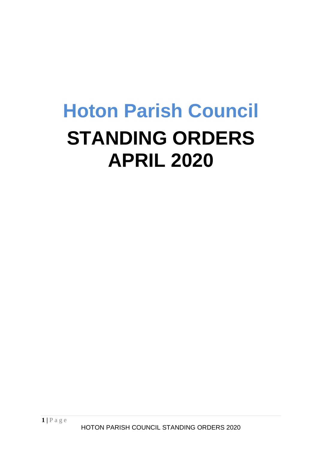# **Hoton Parish Council STANDING ORDERS APRIL 2020**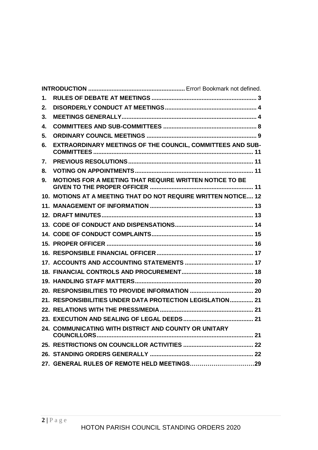| 1.              |                                                                |  |
|-----------------|----------------------------------------------------------------|--|
| 2.              |                                                                |  |
| 3.              |                                                                |  |
| 4.              |                                                                |  |
| 5.              |                                                                |  |
| 6.              | EXTRAORDINARY MEETINGS OF THE COUNCIL, COMMITTEES AND SUB-     |  |
| 7.              |                                                                |  |
| 8.              |                                                                |  |
| 9.              | MOTIONS FOR A MEETING THAT REQUIRE WRITTEN NOTICE TO BE        |  |
|                 | 10. MOTIONS AT A MEETING THAT DO NOT REQUIRE WRITTEN NOTICE 12 |  |
| 11 <sub>1</sub> |                                                                |  |
|                 |                                                                |  |
|                 |                                                                |  |
|                 |                                                                |  |
|                 |                                                                |  |
|                 |                                                                |  |
|                 |                                                                |  |
|                 |                                                                |  |
|                 |                                                                |  |
|                 |                                                                |  |
|                 | 21. RESPONSIBILITIES UNDER DATA PROTECTION LEGISLATION 21      |  |
|                 |                                                                |  |
|                 |                                                                |  |
|                 | 24. COMMUNICATING WITH DISTRICT AND COUNTY OR UNITARY          |  |
|                 |                                                                |  |
|                 |                                                                |  |
|                 |                                                                |  |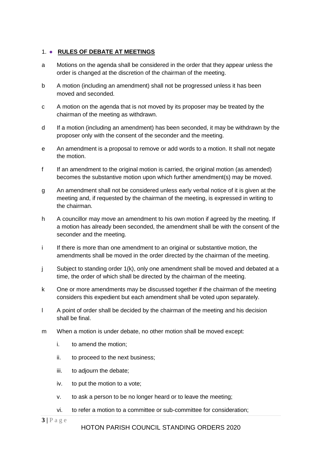#### <span id="page-2-0"></span>1. ● **RULES OF DEBATE AT MEETINGS**

- a Motions on the agenda shall be considered in the order that they appear unless the order is changed at the discretion of the chairman of the meeting.
- b A motion (including an amendment) shall not be progressed unless it has been moved and seconded.
- c A motion on the agenda that is not moved by its proposer may be treated by the chairman of the meeting as withdrawn.
- d If a motion (including an amendment) has been seconded, it may be withdrawn by the proposer only with the consent of the seconder and the meeting.
- e An amendment is a proposal to remove or add words to a motion. It shall not negate the motion.
- f If an amendment to the original motion is carried, the original motion (as amended) becomes the substantive motion upon which further amendment(s) may be moved.
- g An amendment shall not be considered unless early verbal notice of it is given at the meeting and, if requested by the chairman of the meeting, is expressed in writing to the chairman.
- h A councillor may move an amendment to his own motion if agreed by the meeting. If a motion has already been seconded, the amendment shall be with the consent of the seconder and the meeting.
- i If there is more than one amendment to an original or substantive motion, the amendments shall be moved in the order directed by the chairman of the meeting.
- j Subject to standing order 1(k), only one amendment shall be moved and debated at a time, the order of which shall be directed by the chairman of the meeting.
- k One or more amendments may be discussed together if the chairman of the meeting considers this expedient but each amendment shall be voted upon separately.
- l A point of order shall be decided by the chairman of the meeting and his decision shall be final.
- m When a motion is under debate, no other motion shall be moved except:
	- i. to amend the motion;
	- ii. to proceed to the next business;
	- iii. to adjourn the debate;
	- iv. to put the motion to a vote;
	- v. to ask a person to be no longer heard or to leave the meeting;
	- vi. to refer a motion to a committee or sub-committee for consideration;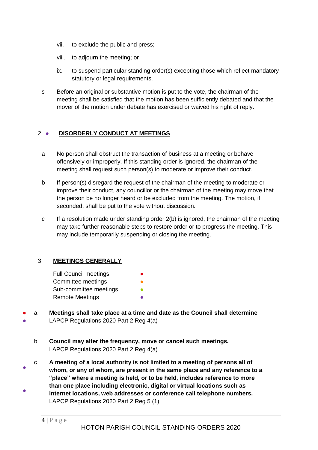- vii. to exclude the public and press;
- viii. to adjourn the meeting; or
- ix. to suspend particular standing order(s) excepting those which reflect mandatory statutory or legal requirements.
- s Before an original or substantive motion is put to the vote, the chairman of the meeting shall be satisfied that the motion has been sufficiently debated and that the mover of the motion under debate has exercised or waived his right of reply.

#### <span id="page-3-0"></span>2. ● **DISORDERLY CONDUCT AT MEETINGS**

- a No person shall obstruct the transaction of business at a meeting or behave offensively or improperly. If this standing order is ignored, the chairman of the meeting shall request such person(s) to moderate or improve their conduct.
- b If person(s) disregard the request of the chairman of the meeting to moderate or improve their conduct, any councillor or the chairman of the meeting may move that the person be no longer heard or be excluded from the meeting. The motion, if seconded, shall be put to the vote without discussion.
- c If a resolution made under standing order 2(b) is ignored, the chairman of the meeting may take further reasonable steps to restore order or to progress the meeting. This may include temporarily suspending or closing the meeting.

#### <span id="page-3-1"></span>3. **MEETINGS GENERALLY**

- Full Council meetings Committee meetings Sub-committee meetings **Remote Meetings**
- ● a **Meetings shall take place at a time and date as the Council shall determine**  LAPCP Regulations 2020 Part 2 Reg 4(a)
	- b **Council may alter the frequency, move or cancel such meetings.** LAPCP Regulations 2020 Part 2 Reg 4(a)
- ● c **A meeting of a local authority is not limited to a meeting of persons all of whom, or any of whom, are present in the same place and any reference to a "place" where a meeting is held, or to be held, includes reference to more than one place including electronic, digital or virtual locations such as internet locations, web addresses or conference call telephone numbers.** LAPCP Regulations 2020 Part 2 Reg 5 (1)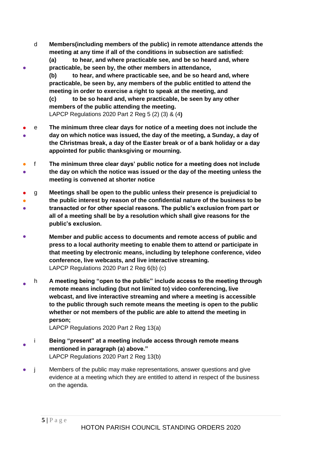d **Members(including members of the public) in remote attendance attends the meeting at any time if all of the conditions in subsection are satisfied:**

**(a) to hear, and where practicable see, and be so heard and, where practicable, be seen by, the other members in attendance,**

**(b) to hear, and where practicable see, and be so heard and, where practicable, be seen by, any members of the public entitled to attend the meeting in order to exercise a right to speak at the meeting, and**

**(c) to be so heard and, where practicable, be seen by any other members of the public attending the meeting.** LAPCP Regulations 2020 Part 2 Reg 5 (2) (3) & (4**)**

- ● e **The minimum three clear days for notice of a meeting does not include the day on which notice was issued, the day of the meeting, a Sunday, a day of the Christmas break, a day of the Easter break or of a bank holiday or a day appointed for public thanksgiving or mourning.**
- ● f **The minimum three clear days' public notice for a meeting does not include the day on which the notice was issued or the day of the meeting unless the meeting is convened at shorter notice**
- ● ● g **Meetings shall be open to the public unless their presence is prejudicial to the public interest by reason of the confidential nature of the business to be transacted or for other special reasons. The public's exclusion from part or all of a meeting shall be by a resolution which shall give reasons for the public's exclusion.**
- **Member and public access to documents and remote access of public and press to a local authority meeting to enable them to attend or participate in that meeting by electronic means, including by telephone conference, video conference, live webcasts, and live interactive streaming.** LAPCP Regulations 2020 Part 2 Reg 6(b) (c)
- h **A meeting being "open to the public" include access to the meeting through remote means including (but not limited to) video conferencing, live webcast, and live interactive streaming and where a meeting is accessible to the public through such remote means the meeting is open to the public whether or not members of the public are able to attend the meeting in person;**

LAPCP Regulations 2020 Part 2 Reg 13(a)

- i **Being "present" at a meeting include access through remote means mentioned in paragraph (a) above."**  LAPCP Regulations 2020 Part 2 Reg 13(b)
- j Members of the public may make representations, answer questions and give evidence at a meeting which they are entitled to attend in respect of the business on the agenda.

●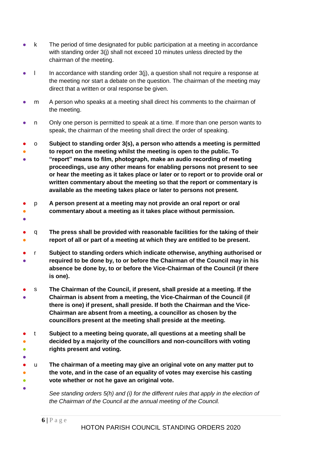- k The period of time designated for public participation at a meeting in accordance with standing order 3(i) shall not exceed 10 minutes unless directed by the chairman of the meeting.
- l In accordance with standing order 3(j), a question shall not require a response at the meeting nor start a debate on the question. The chairman of the meeting may direct that a written or oral response be given.
- m A person who speaks at a meeting shall direct his comments to the chairman of the meeting.
- n Only one person is permitted to speak at a time. If more than one person wants to speak, the chairman of the meeting shall direct the order of speaking.
- o **Subject to standing order 3(s), a person who attends a meeting is permitted**
- ● **to report on the meeting whilst the meeting is open to the public. To "report" means to film, photograph, make an audio recording of meeting proceedings, use any other means for enabling persons not present to see or hear the meeting as it takes place or later or to report or to provide oral or written commentary about the meeting so that the report or commentary is**

**available as the meeting takes place or later to persons not present.**

- ● p **A person present at a meeting may not provide an oral report or oral commentary about a meeting as it takes place without permission.**
- ●
- ● q **The press shall be provided with reasonable facilities for the taking of their report of all or part of a meeting at which they are entitled to be present.**
- ● r **Subject to standing orders which indicate otherwise, anything authorised or required to be done by, to or before the Chairman of the Council may in his absence be done by, to or before the Vice-Chairman of the Council (if there is one).**
- ● s **The Chairman of the Council, if present, shall preside at a meeting. If the Chairman is absent from a meeting, the Vice-Chairman of the Council (if there is one) if present, shall preside. If both the Chairman and the Vice-Chairman are absent from a meeting, a councillor as chosen by the councillors present at the meeting shall preside at the meeting.**
- ● ● t **Subject to a meeting being quorate, all questions at a meeting shall be decided by a majority of the councillors and non-councillors with voting rights present and voting.**
- ●

●

- ● ● u **The chairman of a meeting may give an original vote on any matter put to the vote, and in the case of an equality of votes may exercise his casting vote whether or not he gave an original vote.**
	- *See standing orders 5(h) and (i) for the different rules that apply in the election of the Chairman of the Council at the annual meeting of the Council.*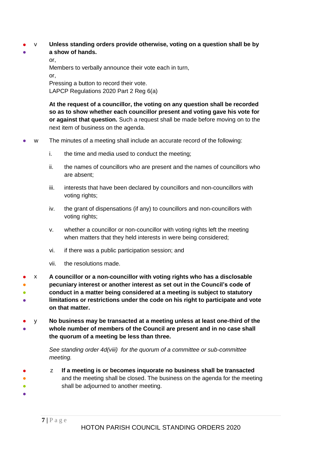- ● v **Unless standing orders provide otherwise, voting on a question shall be by** 
	- **a show of hands.**

or, Members to verbally announce their vote each in turn, or, Pressing a button to record their vote.

LAPCP Regulations 2020 Part 2 Reg 6(a)

**At the request of a councillor, the voting on any question shall be recorded so as to show whether each councillor present and voting gave his vote for or against that question.** Such a request shall be made before moving on to the next item of business on the agenda.

- w The minutes of a meeting shall include an accurate record of the following:
	- i. the time and media used to conduct the meeting;
	- ii. the names of councillors who are present and the names of councillors who are absent;
	- iii. interests that have been declared by councillors and non-councillors with voting rights;
	- iv. the grant of dispensations (if any) to councillors and non-councillors with voting rights;
	- v. whether a councillor or non-councillor with voting rights left the meeting when matters that they held interests in were being considered;
	- vi. if there was a public participation session; and
	- vii. the resolutions made.
- ● ● ● x **A councillor or a non-councillor with voting rights who has a disclosable pecuniary interest or another interest as set out in the Council's code of conduct in a matter being considered at a meeting is subject to statutory limitations or restrictions under the code on his right to participate and vote on that matter.**
- ● y **No business may be transacted at a meeting unless at least one-third of the whole number of members of the Council are present and in no case shall the quorum of a meeting be less than three.**

*See standing order 4d(viii) for the quorum of a committee or sub-committee meeting.* 

- ●  $\bullet$ z **If a meeting is or becomes inquorate no business shall be transacted** and the meeting shall be closed. The business on the agenda for the meeting shall be adjourned to another meeting.
- ●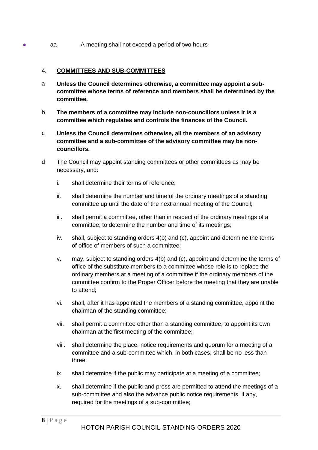• aa A meeting shall not exceed a period of two hours

#### <span id="page-7-0"></span>4. **COMMITTEES AND SUB-COMMITTEES**

- a **Unless the Council determines otherwise, a committee may appoint a subcommittee whose terms of reference and members shall be determined by the committee.**
- b **The members of a committee may include non-councillors unless it is a committee which regulates and controls the finances of the Council.**
- c **Unless the Council determines otherwise, all the members of an advisory committee and a sub-committee of the advisory committee may be noncouncillors.**
- d The Council may appoint standing committees or other committees as may be necessary, and:
	- i. shall determine their terms of reference;
	- ii. shall determine the number and time of the ordinary meetings of a standing committee up until the date of the next annual meeting of the Council;
	- iii. shall permit a committee, other than in respect of the ordinary meetings of a committee, to determine the number and time of its meetings;
	- iv. shall, subject to standing orders 4(b) and (c), appoint and determine the terms of office of members of such a committee;
	- v. may, subject to standing orders 4(b) and (c), appoint and determine the terms of office of the substitute members to a committee whose role is to replace the ordinary members at a meeting of a committee if the ordinary members of the committee confirm to the Proper Officer before the meeting that they are unable to attend;
	- vi. shall, after it has appointed the members of a standing committee, appoint the chairman of the standing committee;
	- vii. shall permit a committee other than a standing committee, to appoint its own chairman at the first meeting of the committee;
	- viii. shall determine the place, notice requirements and quorum for a meeting of a committee and a sub-committee which, in both cases, shall be no less than three;
	- ix. shall determine if the public may participate at a meeting of a committee;
	- x. shall determine if the public and press are permitted to attend the meetings of a sub-committee and also the advance public notice requirements, if any, required for the meetings of a sub-committee;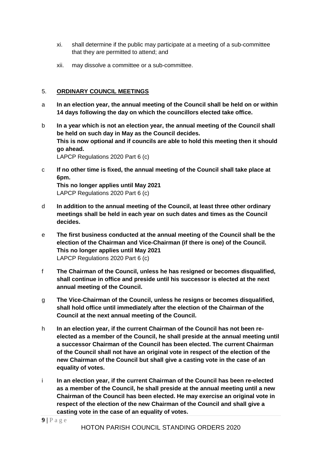- xi. shall determine if the public may participate at a meeting of a sub-committee that they are permitted to attend; and
- xii. may dissolve a committee or a sub-committee.

#### <span id="page-8-0"></span>5. **ORDINARY COUNCIL MEETINGS**

- a **In an election year, the annual meeting of the Council shall be held on or within 14 days following the day on which the councillors elected take office.**
- b **In a year which is not an election year, the annual meeting of the Council shall be held on such day in May as the Council decides. This is now optional and if councils are able to hold this meeting then it should go ahead.** LAPCP Regulations 2020 Part 6 (c)
- c **If no other time is fixed, the annual meeting of the Council shall take place at 6pm.**

**This no longer applies until May 2021** LAPCP Regulations 2020 Part 6 (c)

- d **In addition to the annual meeting of the Council, at least three other ordinary meetings shall be held in each year on such dates and times as the Council decides.**
- e **The first business conducted at the annual meeting of the Council shall be the election of the Chairman and Vice-Chairman (if there is one) of the Council. This no longer applies until May 2021** LAPCP Regulations 2020 Part 6 (c)
- f **The Chairman of the Council, unless he has resigned or becomes disqualified, shall continue in office and preside until his successor is elected at the next annual meeting of the Council.**
- g **The Vice-Chairman of the Council, unless he resigns or becomes disqualified, shall hold office until immediately after the election of the Chairman of the Council at the next annual meeting of the Council.**
- h **In an election year, if the current Chairman of the Council has not been reelected as a member of the Council, he shall preside at the annual meeting until a successor Chairman of the Council has been elected. The current Chairman of the Council shall not have an original vote in respect of the election of the new Chairman of the Council but shall give a casting vote in the case of an equality of votes.**
- i **In an election year, if the current Chairman of the Council has been re-elected as a member of the Council, he shall preside at the annual meeting until a new Chairman of the Council has been elected. He may exercise an original vote in respect of the election of the new Chairman of the Council and shall give a casting vote in the case of an equality of votes.**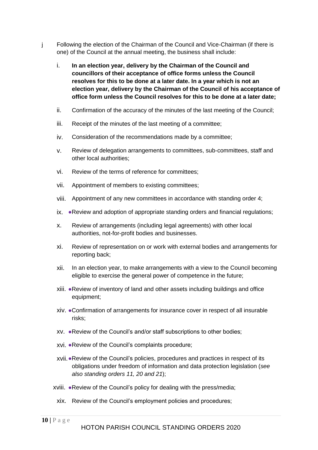- j Following the election of the Chairman of the Council and Vice-Chairman (if there is one) of the Council at the annual meeting, the business shall include:
	- i. **In an election year, delivery by the Chairman of the Council and councillors of their acceptance of office forms unless the Council resolves for this to be done at a later date. In a year which is not an election year, delivery by the Chairman of the Council of his acceptance of office form unless the Council resolves for this to be done at a later date;**
	- ii. Confirmation of the accuracy of the minutes of the last meeting of the Council;
	- iii. Receipt of the minutes of the last meeting of a committee;
	- iv. Consideration of the recommendations made by a committee;
	- v. Review of delegation arrangements to committees, sub-committees, staff and other local authorities;
	- vi. Review of the terms of reference for committees;
	- vii. Appointment of members to existing committees;
	- viii. Appointment of any new committees in accordance with standing order 4;
	- ix. ●Review and adoption of appropriate standing orders and financial regulations;
	- x. Review of arrangements (including legal agreements) with other local authorities, not-for-profit bodies and businesses.
	- xi. Review of representation on or work with external bodies and arrangements for reporting back;
	- xii. In an election year, to make arrangements with a view to the Council becoming eligible to exercise the general power of competence in the future;
	- xiii. ●Review of inventory of land and other assets including buildings and office equipment;
	- xiv. ●Confirmation of arrangements for insurance cover in respect of all insurable risks;
	- xv. ●Review of the Council's and/or staff subscriptions to other bodies;
	- xvi. ●Review of the Council's complaints procedure;
	- xvii.●Review of the Council's policies, procedures and practices in respect of its obligations under freedom of information and data protection legislation (*see also standing orders 11, 20 and 21*);
	- xviii. ●Review of the Council's policy for dealing with the press/media;
		- xix. Review of the Council's employment policies and procedures;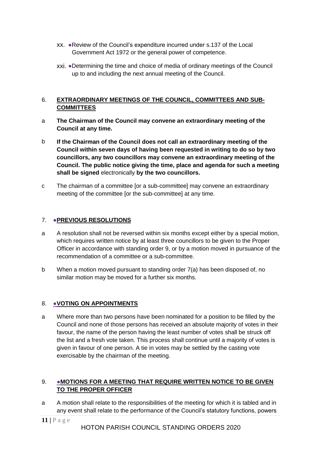- xx. ●Review of the Council's expenditure incurred under s.137 of the Local Government Act 1972 or the general power of competence.
- xxi. ●Determining the time and choice of media of ordinary meetings of the Council up to and including the next annual meeting of the Council.

#### <span id="page-10-0"></span>6. **EXTRAORDINARY MEETINGS OF THE COUNCIL, COMMITTEES AND SUB-COMMITTEES**

- a **The Chairman of the Council may convene an extraordinary meeting of the Council at any time.**
- b **If the Chairman of the Council does not call an extraordinary meeting of the Council within seven days of having been requested in writing to do so by two councillors, any two councillors may convene an extraordinary meeting of the Council. The public notice giving the time, place and agenda for such a meeting shall be signed** electronically **by the two councillors.**
- c The chairman of a committee [or a sub-committee] may convene an extraordinary meeting of the committee [or the sub-committee] at any time.

## <span id="page-10-1"></span>7. ●**PREVIOUS RESOLUTIONS**

- a A resolution shall not be reversed within six months except either by a special motion, which requires written notice by at least three councillors to be given to the Proper Officer in accordance with standing order 9, or by a motion moved in pursuance of the recommendation of a committee or a sub-committee.
- b When a motion moved pursuant to standing order 7(a) has been disposed of, no similar motion may be moved for a further six months.

#### <span id="page-10-2"></span>8. ●**VOTING ON APPOINTMENTS**

a Where more than two persons have been nominated for a position to be filled by the Council and none of those persons has received an absolute majority of votes in their favour, the name of the person having the least number of votes shall be struck off the list and a fresh vote taken. This process shall continue until a majority of votes is given in favour of one person. A tie in votes may be settled by the casting vote exercisable by the chairman of the meeting.

#### <span id="page-10-3"></span>9. ●**MOTIONS FOR A MEETING THAT REQUIRE WRITTEN NOTICE TO BE GIVEN TO THE PROPER OFFICER**

a A motion shall relate to the responsibilities of the meeting for which it is tabled and in any event shall relate to the performance of the Council's statutory functions, powers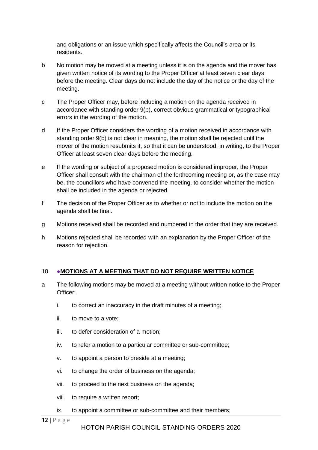and obligations or an issue which specifically affects the Council's area or its residents.

- b No motion may be moved at a meeting unless it is on the agenda and the mover has given written notice of its wording to the Proper Officer at least seven clear days before the meeting. Clear days do not include the day of the notice or the day of the meeting.
- c The Proper Officer may, before including a motion on the agenda received in accordance with standing order 9(b), correct obvious grammatical or typographical errors in the wording of the motion.
- d If the Proper Officer considers the wording of a motion received in accordance with standing order 9(b) is not clear in meaning, the motion shall be rejected until the mover of the motion resubmits it, so that it can be understood, in writing, to the Proper Officer at least seven clear days before the meeting.
- e If the wording or subject of a proposed motion is considered improper, the Proper Officer shall consult with the chairman of the forthcoming meeting or, as the case may be, the councillors who have convened the meeting, to consider whether the motion shall be included in the agenda or rejected.
- f The decision of the Proper Officer as to whether or not to include the motion on the agenda shall be final.
- g Motions received shall be recorded and numbered in the order that they are received.
- h Motions rejected shall be recorded with an explanation by the Proper Officer of the reason for rejection.

#### <span id="page-11-0"></span>10. ●**MOTIONS AT A MEETING THAT DO NOT REQUIRE WRITTEN NOTICE**

- a The following motions may be moved at a meeting without written notice to the Proper Officer:
	- i. to correct an inaccuracy in the draft minutes of a meeting;
	- ii. to move to a vote;
	- iii. to defer consideration of a motion;
	- iv. to refer a motion to a particular committee or sub-committee;
	- v. to appoint a person to preside at a meeting;
	- vi. to change the order of business on the agenda;
	- vii. to proceed to the next business on the agenda;
	- viii. to require a written report;
	- ix. to appoint a committee or sub-committee and their members;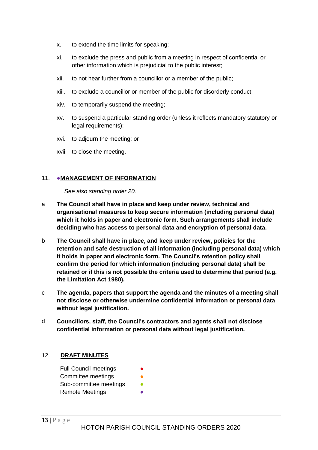- x. to extend the time limits for speaking;
- xi. to exclude the press and public from a meeting in respect of confidential or other information which is prejudicial to the public interest;
- xii. to not hear further from a councillor or a member of the public;
- xiii. to exclude a councillor or member of the public for disorderly conduct;
- xiv. to temporarily suspend the meeting;
- xv. to suspend a particular standing order (unless it reflects mandatory statutory or legal requirements);
- xvi. to adjourn the meeting; or
- xvii. to close the meeting.

#### <span id="page-12-0"></span>11. ●**MANAGEMENT OF INFORMATION**

*See also standing order 20.*

- a **The Council shall have in place and keep under review, technical and organisational measures to keep secure information (including personal data) which it holds in paper and electronic form. Such arrangements shall include deciding who has access to personal data and encryption of personal data.**
- b **The Council shall have in place, and keep under review, policies for the retention and safe destruction of all information (including personal data) which it holds in paper and electronic form. The Council's retention policy shall confirm the period for which information (including personal data) shall be retained or if this is not possible the criteria used to determine that period (e.g. the Limitation Act 1980).**
- c **The agenda, papers that support the agenda and the minutes of a meeting shall not disclose or otherwise undermine confidential information or personal data without legal justification.**
- d **Councillors, staff, the Council's contractors and agents shall not disclose confidential information or personal data without legal justification.**

#### <span id="page-12-1"></span>12. **DRAFT MINUTES**

Full Council meetings Committee meetings Sub-committee meetings **•** Remote Meetings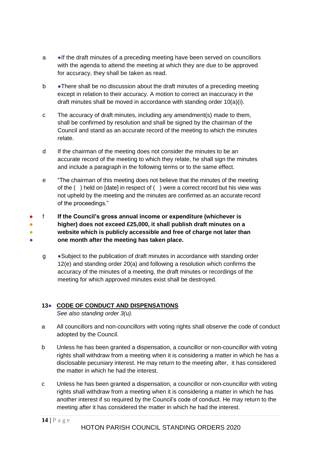- a ●If the draft minutes of a preceding meeting have been served on councillors with the agenda to attend the meeting at which they are due to be approved for accuracy, they shall be taken as read.
- b There shall be no discussion about the draft minutes of a preceding meeting except in relation to their accuracy. A motion to correct an inaccuracy in the draft minutes shall be moved in accordance with standing order 10(a)(i).
- c The accuracy of draft minutes, including any amendment(s) made to them, shall be confirmed by resolution and shall be signed by the chairman of the Council and stand as an accurate record of the meeting to which the minutes relate.
- d If the chairman of the meeting does not consider the minutes to be an accurate record of the meeting to which they relate, he shall sign the minutes and include a paragraph in the following terms or to the same effect.
- e "The chairman of this meeting does not believe that the minutes of the meeting of the ( ) held on [date] in respect of ( ) were a correct record but his view was not upheld by the meeting and the minutes are confirmed as an accurate record of the proceedings."
- ● ● ● f **If the Council's gross annual income or expenditure (whichever is higher) does not exceed £25,000, it shall publish draft minutes on a website which is publicly accessible and free of charge not later than one month after the meeting has taken place.**
	- g ●Subject to the publication of draft minutes in accordance with standing order 12(e) and standing order 20(a) and following a resolution which confirms the accuracy of the minutes of a meeting, the draft minutes or recordings of the meeting for which approved minutes exist shall be destroyed.

## <span id="page-13-0"></span>**13**● **CODE OF CONDUCT AND DISPENSATIONS**

*See also standing order 3(u).*

- a All councillors and non-councillors with voting rights shall observe the code of conduct adopted by the Council.
- b Unless he has been granted a dispensation, a councillor or non-councillor with voting rights shall withdraw from a meeting when it is considering a matter in which he has a disclosable pecuniary interest. He may return to the meeting after, it has considered the matter in which he had the interest.
- c Unless he has been granted a dispensation, a councillor or non-councillor with voting rights shall withdraw from a meeting when it is considering a matter in which he has another interest if so required by the Council's code of conduct. He may return to the meeting after it has considered the matter in which he had the interest.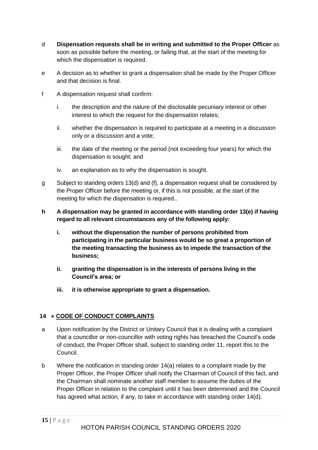- d **Dispensation requests shall be in writing and submitted to the Proper Officer** as soon as possible before the meeting, or failing that, at the start of the meeting for which the dispensation is required.
- e A decision as to whether to grant a dispensation shall be made by the Proper Officer and that decision is final.
- f A dispensation request shall confirm:
	- i. the description and the nature of the disclosable pecuniary interest or other interest to which the request for the dispensation relates;
	- ii. whether the dispensation is required to participate at a meeting in a discussion only or a discussion and a vote;
	- iii. the date of the meeting or the period (not exceeding four years) for which the dispensation is sought; and
	- iv. an explanation as to why the dispensation is sought.
- g Subject to standing orders 13(d) and (f), a dispensation request shall be considered by the Proper Officer before the meeting or, if this is not possible, at the start of the meeting for which the dispensation is required..
- **h A dispensation may be granted in accordance with standing order 13(e) if having regard to all relevant circumstances any of the following apply:**
	- **i. without the dispensation the number of persons prohibited from participating in the particular business would be so great a proportion of the meeting transacting the business as to impede the transaction of the business;**
	- **ii. granting the dispensation is in the interests of persons living in the Council's area; or**
	- **iii. it is otherwise appropriate to grant a dispensation.**

## <span id="page-14-0"></span>**14** ● **CODE OF CONDUCT COMPLAINTS**

- a Upon notification by the District or Unitary Council that it is dealing with a complaint that a councillor or non-councillor with voting rights has breached the Council's code of conduct, the Proper Officer shall, subject to standing order 11, report this to the Council.
- b Where the notification in standing order 14(a) relates to a complaint made by the Proper Officer, the Proper Officer shall notify the Chairman of Council of this fact, and the Chairman shall nominate another staff member to assume the duties of the Proper Officer in relation to the complaint until it has been determined and the Council has agreed what action, if any, to take in accordance with standing order 14(d).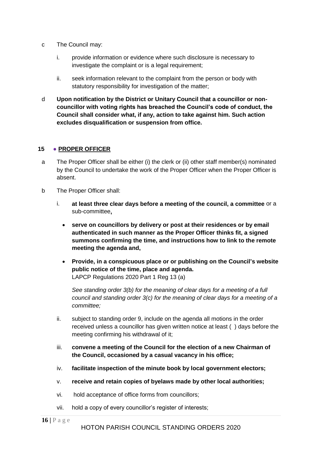- c The Council may:
	- i. provide information or evidence where such disclosure is necessary to investigate the complaint or is a legal requirement;
	- ii. seek information relevant to the complaint from the person or body with statutory responsibility for investigation of the matter;
- <span id="page-15-0"></span>d **Upon notification by the District or Unitary Council that a councillor or noncouncillor with voting rights has breached the Council's code of conduct, the Council shall consider what, if any, action to take against him. Such action excludes disqualification or suspension from office.**

#### **15** ● **PROPER OFFICER**

- a The Proper Officer shall be either (i) the clerk or (ii) other staff member(s) nominated by the Council to undertake the work of the Proper Officer when the Proper Officer is absent.
- b The Proper Officer shall:
	- i. **at least three clear days before a meeting of the council, a committee** or a sub-committee**,**
		- **serve on councillors by delivery or post at their residences or by email authenticated in such manner as the Proper Officer thinks fit, a signed summons confirming the time, and instructions how to link to the remote meeting the agenda and,**
		- **Provide, in a conspicuous place or or publishing on the Council's website public notice of the time, place and agenda.** LAPCP Regulations 2020 Part 1 Reg 13 (a)

*See standing order 3(b) for the meaning of clear days for a meeting of a full council and standing order 3(c) for the meaning of clear days for a meeting of a committee;*

- ii. subject to standing order 9, include on the agenda all motions in the order received unless a councillor has given written notice at least ( ) days before the meeting confirming his withdrawal of it;
- iii. **convene a meeting of the Council for the election of a new Chairman of the Council, occasioned by a casual vacancy in his office;**
- iv. **facilitate inspection of the minute book by local government electors;**
- v. **receive and retain copies of byelaws made by other local authorities;**
- vi. hold acceptance of office forms from councillors;
- vii. hold a copy of every councillor's register of interests;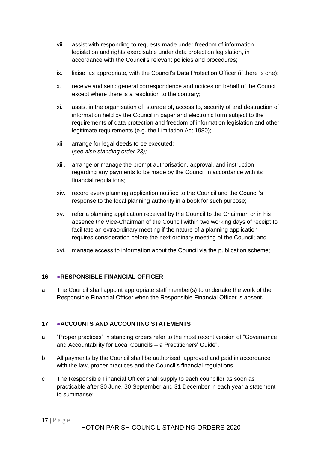- viii. assist with responding to requests made under freedom of information legislation and rights exercisable under data protection legislation, in accordance with the Council's relevant policies and procedures;
- ix. liaise, as appropriate, with the Council's Data Protection Officer (if there is one);
- x. receive and send general correspondence and notices on behalf of the Council except where there is a resolution to the contrary;
- xi. assist in the organisation of, storage of, access to, security of and destruction of information held by the Council in paper and electronic form subject to the requirements of data protection and freedom of information legislation and other legitimate requirements (e.g. the Limitation Act 1980);
- xii. arrange for legal deeds to be executed; (*see also standing order 23);*
- xiii. arrange or manage the prompt authorisation, approval, and instruction regarding any payments to be made by the Council in accordance with its financial regulations;
- xiv. record every planning application notified to the Council and the Council's response to the local planning authority in a book for such purpose;
- xv. refer a planning application received by the Council to the Chairman or in his absence the Vice-Chairman of the Council within two working days of receipt to facilitate an extraordinary meeting if the nature of a planning application requires consideration before the next ordinary meeting of the Council; and
- xvi. manage access to information about the Council via the publication scheme;

## <span id="page-16-0"></span>**16** ●**RESPONSIBLE FINANCIAL OFFICER**

a The Council shall appoint appropriate staff member(s) to undertake the work of the Responsible Financial Officer when the Responsible Financial Officer is absent.

## <span id="page-16-1"></span>**17** ●**ACCOUNTS AND ACCOUNTING STATEMENTS**

- a "Proper practices" in standing orders refer to the most recent version of "Governance and Accountability for Local Councils – a Practitioners' Guide".
- b All payments by the Council shall be authorised, approved and paid in accordance with the law, proper practices and the Council's financial regulations.
- c The Responsible Financial Officer shall supply to each councillor as soon as practicable after 30 June, 30 September and 31 December in each year a statement to summarise: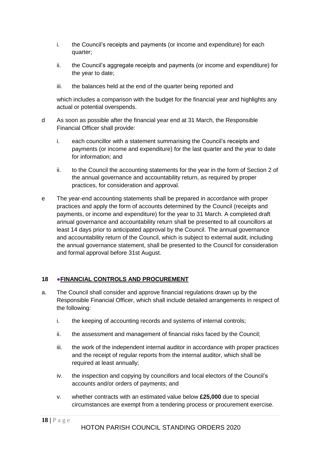- i. the Council's receipts and payments (or income and expenditure) for each quarter;
- ii. the Council's aggregate receipts and payments (or income and expenditure) for the year to date;
- iii. the balances held at the end of the quarter being reported and

which includes a comparison with the budget for the financial year and highlights any actual or potential overspends.

- d As soon as possible after the financial year end at 31 March, the Responsible Financial Officer shall provide:
	- i. each councillor with a statement summarising the Council's receipts and payments (or income and expenditure) for the last quarter and the year to date for information; and
	- ii. to the Council the accounting statements for the year in the form of Section 2 of the annual governance and accountability return, as required by proper practices, for consideration and approval.
- e The year-end accounting statements shall be prepared in accordance with proper practices and apply the form of accounts determined by the Council (receipts and payments, or income and expenditure) for the year to 31 March. A completed draft annual governance and accountability return shall be presented to all councillors at least 14 days prior to anticipated approval by the Council. The annual governance and accountability return of the Council, which is subject to external audit, including the annual governance statement, shall be presented to the Council for consideration and formal approval before 31st August.

## <span id="page-17-0"></span>**18 ●FINANCIAL CONTROLS AND PROCUREMENT**

- a. The Council shall consider and approve financial regulations drawn up by the Responsible Financial Officer, which shall include detailed arrangements in respect of the following:
	- i. the keeping of accounting records and systems of internal controls;
	- ii. the assessment and management of financial risks faced by the Council;
	- iii. the work of the independent internal auditor in accordance with proper practices and the receipt of regular reports from the internal auditor, which shall be required at least annually;
	- iv. the inspection and copying by councillors and local electors of the Council's accounts and/or orders of payments; and
	- v. whether contracts with an estimated value below **£25,000** due to special circumstances are exempt from a tendering process or procurement exercise.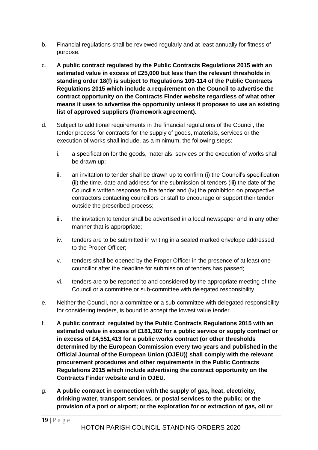- b. Financial regulations shall be reviewed regularly and at least annually for fitness of purpose.
- c. **A public contract regulated by the Public Contracts Regulations 2015 with an estimated value in excess of £25,000 but less than the relevant thresholds in standing order 18(f) is subject to Regulations 109-114 of the Public Contracts Regulations 2015 which include a requirement on the Council to advertise the contract opportunity on the Contracts Finder website regardless of what other means it uses to advertise the opportunity unless it proposes to use an existing list of approved suppliers (framework agreement).**
- d. Subject to additional requirements in the financial regulations of the Council, the tender process for contracts for the supply of goods, materials, services or the execution of works shall include, as a minimum, the following steps:
	- i. a specification for the goods, materials, services or the execution of works shall be drawn up;
	- ii. an invitation to tender shall be drawn up to confirm (i) the Council's specification (ii) the time, date and address for the submission of tenders (iii) the date of the Council's written response to the tender and (iv) the prohibition on prospective contractors contacting councillors or staff to encourage or support their tender outside the prescribed process;
	- iii. the invitation to tender shall be advertised in a local newspaper and in any other manner that is appropriate;
	- iv. tenders are to be submitted in writing in a sealed marked envelope addressed to the Proper Officer;
	- v. tenders shall be opened by the Proper Officer in the presence of at least one councillor after the deadline for submission of tenders has passed;
	- vi. tenders are to be reported to and considered by the appropriate meeting of the Council or a committee or sub-committee with delegated responsibility.
- e. Neither the Council, nor a committee or a sub-committee with delegated responsibility for considering tenders, is bound to accept the lowest value tender.
- f. **A public contract regulated by the Public Contracts Regulations 2015 with an estimated value in excess of £181,302 for a public service or supply contract or in excess of £4,551,413 for a public works contract (or other thresholds determined by the European Commission every two years and published in the Official Journal of the European Union (OJEU)) shall comply with the relevant procurement procedures and other requirements in the Public Contracts Regulations 2015 which include advertising the contract opportunity on the Contracts Finder website and in OJEU.**
- g. **A public contract in connection with the supply of gas, heat, electricity, drinking water, transport services, or postal services to the public; or the provision of a port or airport; or the exploration for or extraction of gas, oil or**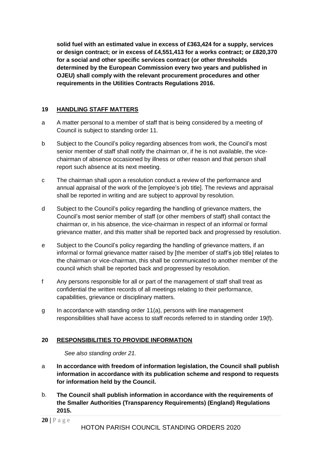**solid fuel with an estimated value in excess of £363,424 for a supply, services or design contract; or in excess of £4,551,413 for a works contract; or £820,370 for a social and other specific services contract (or other thresholds determined by the European Commission every two years and published in OJEU) shall comply with the relevant procurement procedures and other requirements in the Utilities Contracts Regulations 2016.**

## <span id="page-19-0"></span>**19 HANDLING STAFF MATTERS**

- a A matter personal to a member of staff that is being considered by a meeting of Council is subject to standing order 11.
- b Subject to the Council's policy regarding absences from work, the Council's most senior member of staff shall notify the chairman or, if he is not available, the vicechairman of absence occasioned by illness or other reason and that person shall report such absence at its next meeting.
- c The chairman shall upon a resolution conduct a review of the performance and annual appraisal of the work of the [employee's job title]. The reviews and appraisal shall be reported in writing and are subject to approval by resolution.
- d Subject to the Council's policy regarding the handling of grievance matters, the Council's most senior member of staff (or other members of staff) shall contact the chairman or, in his absence, the vice-chairman in respect of an informal or formal grievance matter, and this matter shall be reported back and progressed by resolution.
- e Subject to the Council's policy regarding the handling of grievance matters, if an informal or formal grievance matter raised by [the member of staff's job title] relates to the chairman or vice-chairman, this shall be communicated to another member of the council which shall be reported back and progressed by resolution.
- f Any persons responsible for all or part of the management of staff shall treat as confidential the written records of all meetings relating to their performance, capabilities, grievance or disciplinary matters.
- g In accordance with standing order 11(a), persons with line management responsibilities shall have access to staff records referred to in standing order 19(f).

## <span id="page-19-1"></span>**20 RESPONSIBILITIES TO PROVIDE INFORMATION**

*See also standing order 21.*

- a **In accordance with freedom of information legislation, the Council shall publish information in accordance with its publication scheme and respond to requests for information held by the Council.**
- b. **The Council shall publish information in accordance with the requirements of the Smaller Authorities (Transparency Requirements) (England) Regulations 2015.**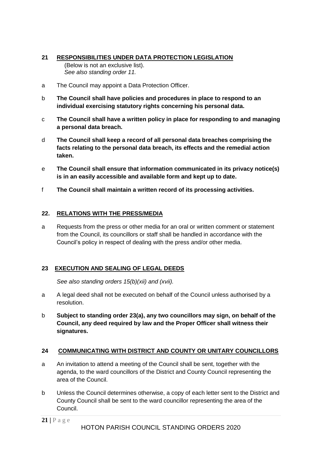#### <span id="page-20-0"></span>**21 RESPONSIBILITIES UNDER DATA PROTECTION LEGISLATION**  (Below is not an exclusive list). *See also standing order 11.*

- a The Council may appoint a Data Protection Officer.
- b **The Council shall have policies and procedures in place to respond to an individual exercising statutory rights concerning his personal data.**
- c **The Council shall have a written policy in place for responding to and managing a personal data breach.**
- d **The Council shall keep a record of all personal data breaches comprising the facts relating to the personal data breach, its effects and the remedial action taken.**
- e **The Council shall ensure that information communicated in its privacy notice(s) is in an easily accessible and available form and kept up to date.**
- f **The Council shall maintain a written record of its processing activities.**

#### <span id="page-20-1"></span>**22. RELATIONS WITH THE PRESS/MEDIA**

a Requests from the press or other media for an oral or written comment or statement from the Council, its councillors or staff shall be handled in accordance with the Council's policy in respect of dealing with the press and/or other media.

#### <span id="page-20-2"></span>**23 EXECUTION AND SEALING OF LEGAL DEEDS**

*See also standing orders 15(b)(xii) and (xvii).*

- a A legal deed shall not be executed on behalf of the Council unless authorised by a resolution.
- b **Subject to standing order 23(a), any two councillors may sign, on behalf of the Council, any deed required by law and the Proper Officer shall witness their signatures.**

#### <span id="page-20-3"></span>**24 COMMUNICATING WITH DISTRICT AND COUNTY OR UNITARY COUNCILLORS**

- a An invitation to attend a meeting of the Council shall be sent, together with the agenda, to the ward councillors of the District and County Council representing the area of the Council.
- b Unless the Council determines otherwise, a copy of each letter sent to the District and County Council shall be sent to the ward councillor representing the area of the Council.